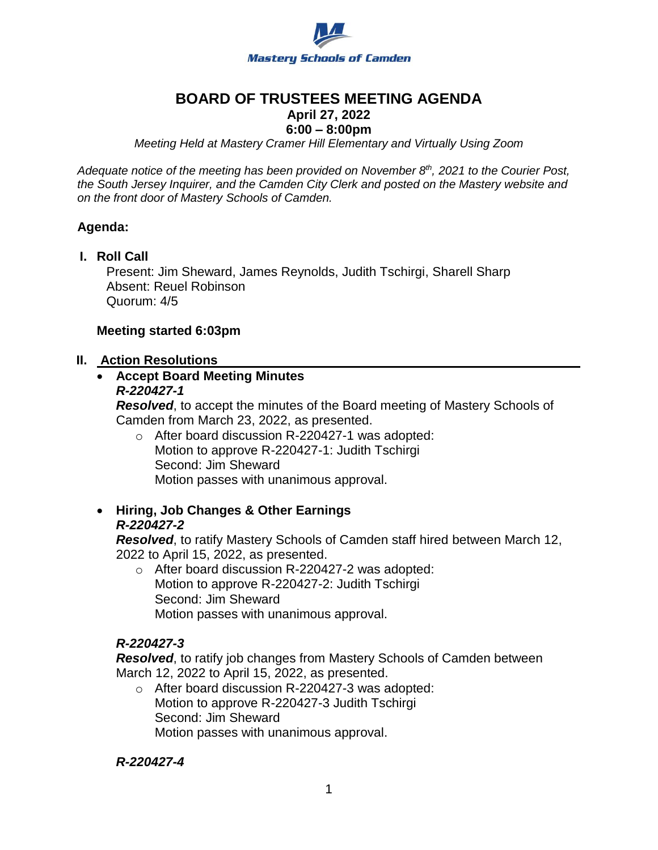

## **BOARD OF TRUSTEES MEETING AGENDA**

## **April 27, 2022**

## **6:00 – 8:00pm**

*Meeting Held at Mastery Cramer Hill Elementary and Virtually Using Zoom*

*Adequate notice of the meeting has been provided on November 8th, 2021 to the Courier Post, the South Jersey Inquirer, and the Camden City Clerk and posted on the Mastery website and on the front door of Mastery Schools of Camden.*

#### **Agenda:**

**I. Roll Call**

Present: Jim Sheward, James Reynolds, Judith Tschirgi, Sharell Sharp Absent: Reuel Robinson Quorum: 4/5

#### **Meeting started 6:03pm**

#### **II. Action Resolutions**

#### **Accept Board Meeting Minutes** *R-220427-1*

*Resolved*, to accept the minutes of the Board meeting of Mastery Schools of Camden from March 23, 2022, as presented.

- o After board discussion R-220427-1 was adopted: Motion to approve R-220427-1: Judith Tschirgi Second: Jim Sheward Motion passes with unanimous approval.
- **Hiring, Job Changes & Other Earnings**  *R-220427-2*

*Resolved*, to ratify Mastery Schools of Camden staff hired between March 12, 2022 to April 15, 2022, as presented.

o After board discussion R-220427-2 was adopted: Motion to approve R-220427-2: Judith Tschirgi Second: Jim Sheward Motion passes with unanimous approval.

#### *R-220427-3*

*Resolved*, to ratify job changes from Mastery Schools of Camden between March 12, 2022 to April 15, 2022, as presented.

o After board discussion R-220427-3 was adopted: Motion to approve R-220427-3 Judith Tschirgi Second: Jim Sheward Motion passes with unanimous approval.

#### *R-220427-4*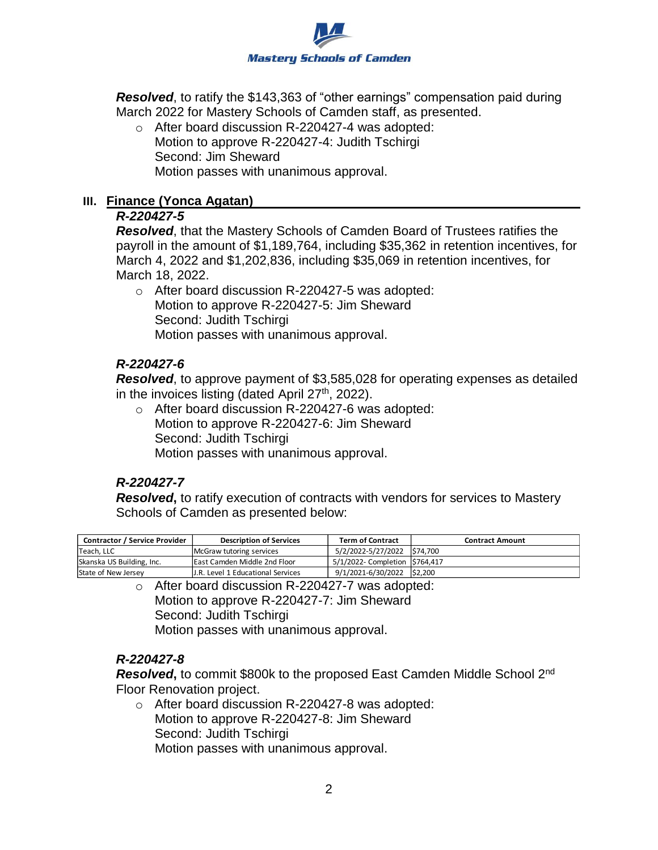

*Resolved*, to ratify the \$143,363 of "other earnings" compensation paid during March 2022 for Mastery Schools of Camden staff, as presented.

o After board discussion R-220427-4 was adopted: Motion to approve R-220427-4: Judith Tschirgi Second: Jim Sheward Motion passes with unanimous approval.

#### **III. Finance (Yonca Agatan)**

#### *R-220427-5*

*Resolved*, that the Mastery Schools of Camden Board of Trustees ratifies the payroll in the amount of \$1,189,764, including \$35,362 in retention incentives, for March 4, 2022 and \$1,202,836, including \$35,069 in retention incentives, for March 18, 2022.

o After board discussion R-220427-5 was adopted: Motion to approve R-220427-5: Jim Sheward Second: Judith Tschirgi Motion passes with unanimous approval.

### *R-220427-6*

*Resolved*, to approve payment of \$3,585,028 for operating expenses as detailed in the invoices listing (dated April  $27<sup>th</sup>$ , 2022).

o After board discussion R-220427-6 was adopted: Motion to approve R-220427-6: Jim Sheward Second: Judith Tschirgi Motion passes with unanimous approval.

## *R-220427-7*

*Resolved***,** to ratify execution of contracts with vendors for services to Mastery Schools of Camden as presented below:

| <b>Contractor / Service Provider</b> | <b>Description of Services</b>       | <b>Term of Contract</b>       | <b>Contract Amount</b> |
|--------------------------------------|--------------------------------------|-------------------------------|------------------------|
| Teach, LLC                           | McGraw tutoring services             | 5/2/2022-5/27/2022 574,700    |                        |
| Skanska US Building, Inc.            | <b>IEast Camden Middle 2nd Floor</b> | 5/1/2022- Completion 5764,417 |                        |
| State of New Jersey                  | IJ.R. Level 1 Educational Services   | 9/1/2021-6/30/2022 \$2,200    |                        |

o After board discussion R-220427-7 was adopted: Motion to approve R-220427-7: Jim Sheward Second: Judith Tschirgi Motion passes with unanimous approval.

## *R-220427-8*

**Resolved**, to commit \$800k to the proposed East Camden Middle School 2<sup>nd</sup> Floor Renovation project.

o After board discussion R-220427-8 was adopted: Motion to approve R-220427-8: Jim Sheward Second: Judith Tschirgi Motion passes with unanimous approval.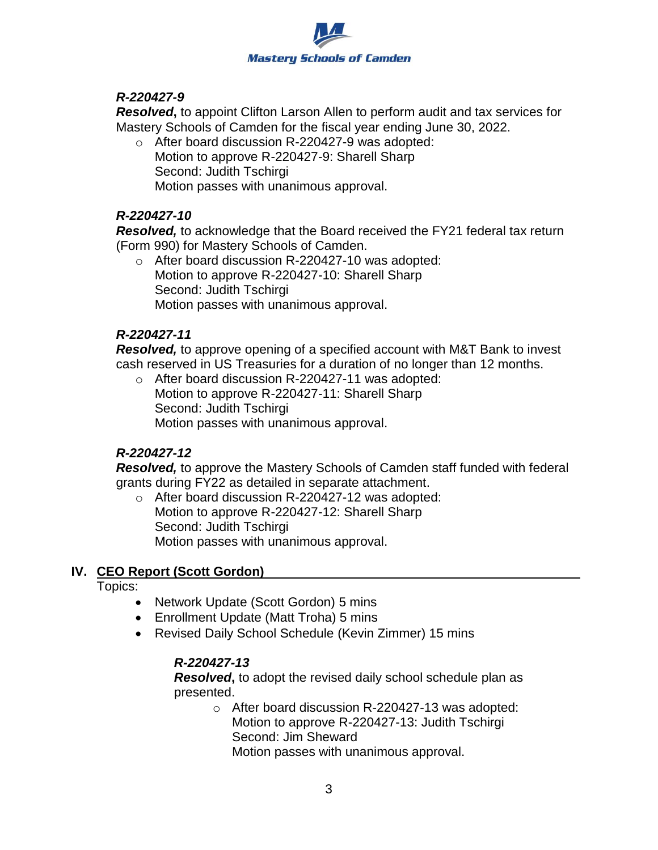

### *R-220427-9*

*Resolved***,** to appoint Clifton Larson Allen to perform audit and tax services for Mastery Schools of Camden for the fiscal year ending June 30, 2022.

o After board discussion R-220427-9 was adopted: Motion to approve R-220427-9: Sharell Sharp Second: Judith Tschirgi Motion passes with unanimous approval.

#### *R-220427-10*

*Resolved,* to acknowledge that the Board received the FY21 federal tax return (Form 990) for Mastery Schools of Camden.

o After board discussion R-220427-10 was adopted: Motion to approve R-220427-10: Sharell Sharp Second: Judith Tschirgi Motion passes with unanimous approval.

### *R-220427-11*

*Resolved,* to approve opening of a specified account with M&T Bank to invest cash reserved in US Treasuries for a duration of no longer than 12 months.

o After board discussion R-220427-11 was adopted: Motion to approve R-220427-11: Sharell Sharp Second: Judith Tschirgi Motion passes with unanimous approval.

## *R-220427-12*

*Resolved,* to approve the Mastery Schools of Camden staff funded with federal grants during FY22 as detailed in separate attachment.

o After board discussion R-220427-12 was adopted: Motion to approve R-220427-12: Sharell Sharp Second: Judith Tschirgi Motion passes with unanimous approval.

## **IV. CEO Report (Scott Gordon)**

Topics:

- Network Update (Scott Gordon) 5 mins
- Enrollment Update (Matt Troha) 5 mins
- Revised Daily School Schedule (Kevin Zimmer) 15 mins

## *R-220427-13*

*Resolved***,** to adopt the revised daily school schedule plan as presented.

> o After board discussion R-220427-13 was adopted: Motion to approve R-220427-13: Judith Tschirgi Second: Jim Sheward Motion passes with unanimous approval.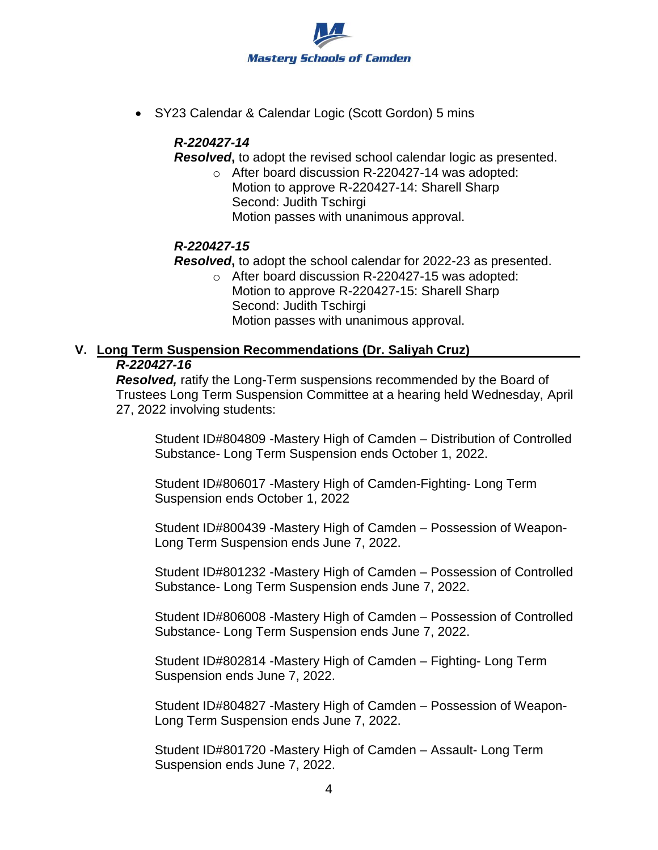

SY23 Calendar & Calendar Logic (Scott Gordon) 5 mins

## *R-220427-14*

*Resolved***,** to adopt the revised school calendar logic as presented.

o After board discussion R-220427-14 was adopted: Motion to approve R-220427-14: Sharell Sharp Second: Judith Tschirgi Motion passes with unanimous approval.

## *R-220427-15*

*Resolved***,** to adopt the school calendar for 2022-23 as presented.

o After board discussion R-220427-15 was adopted: Motion to approve R-220427-15: Sharell Sharp Second: Judith Tschirgi Motion passes with unanimous approval.

# **V. Long Term Suspension Recommendations (Dr. Saliyah Cruz)**

#### *R-220427-16*

*Resolved,* ratify the Long-Term suspensions recommended by the Board of Trustees Long Term Suspension Committee at a hearing held Wednesday, April 27, 2022 involving students:

Student ID#804809 -Mastery High of Camden – Distribution of Controlled Substance- Long Term Suspension ends October 1, 2022.

Student ID#806017 -Mastery High of Camden-Fighting- Long Term Suspension ends October 1, 2022

Student ID#800439 -Mastery High of Camden – Possession of Weapon-Long Term Suspension ends June 7, 2022.

Student ID#801232 -Mastery High of Camden – Possession of Controlled Substance- Long Term Suspension ends June 7, 2022.

Student ID#806008 -Mastery High of Camden – Possession of Controlled Substance- Long Term Suspension ends June 7, 2022.

Student ID#802814 -Mastery High of Camden – Fighting- Long Term Suspension ends June 7, 2022.

Student ID#804827 -Mastery High of Camden – Possession of Weapon-Long Term Suspension ends June 7, 2022.

Student ID#801720 -Mastery High of Camden – Assault- Long Term Suspension ends June 7, 2022.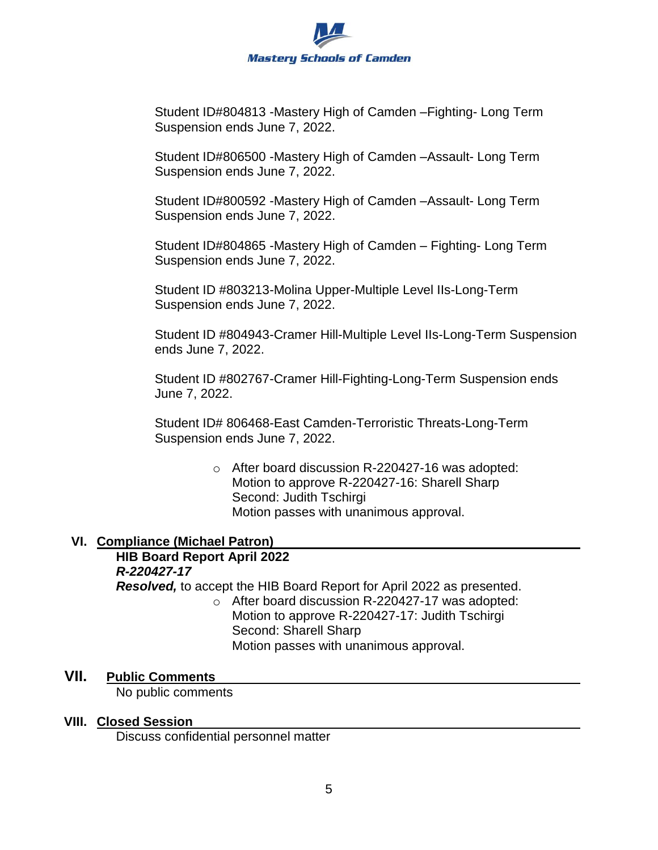

Student ID#804813 -Mastery High of Camden –Fighting- Long Term Suspension ends June 7, 2022.

Student ID#806500 -Mastery High of Camden –Assault- Long Term Suspension ends June 7, 2022.

Student ID#800592 -Mastery High of Camden –Assault- Long Term Suspension ends June 7, 2022.

Student ID#804865 -Mastery High of Camden – Fighting- Long Term Suspension ends June 7, 2022.

Student ID #803213-Molina Upper-Multiple Level IIs-Long-Term Suspension ends June 7, 2022.

Student ID #804943-Cramer Hill-Multiple Level IIs-Long-Term Suspension ends June 7, 2022.

Student ID #802767-Cramer Hill-Fighting-Long-Term Suspension ends June 7, 2022.

Student ID# 806468-East Camden-Terroristic Threats-Long-Term Suspension ends June 7, 2022.

> o After board discussion R-220427-16 was adopted: Motion to approve R-220427-16: Sharell Sharp Second: Judith Tschirgi Motion passes with unanimous approval.

## **VI. Compliance (Michael Patron)**

## **HIB Board Report April 2022** *R-220427-17*

*Resolved,* to accept the HIB Board Report for April 2022 as presented.

o After board discussion R-220427-17 was adopted: Motion to approve R-220427-17: Judith Tschirgi Second: Sharell Sharp Motion passes with unanimous approval.

## **VII. Public Comments**

No public comments

## **VIII. Closed Session**

Discuss confidential personnel matter